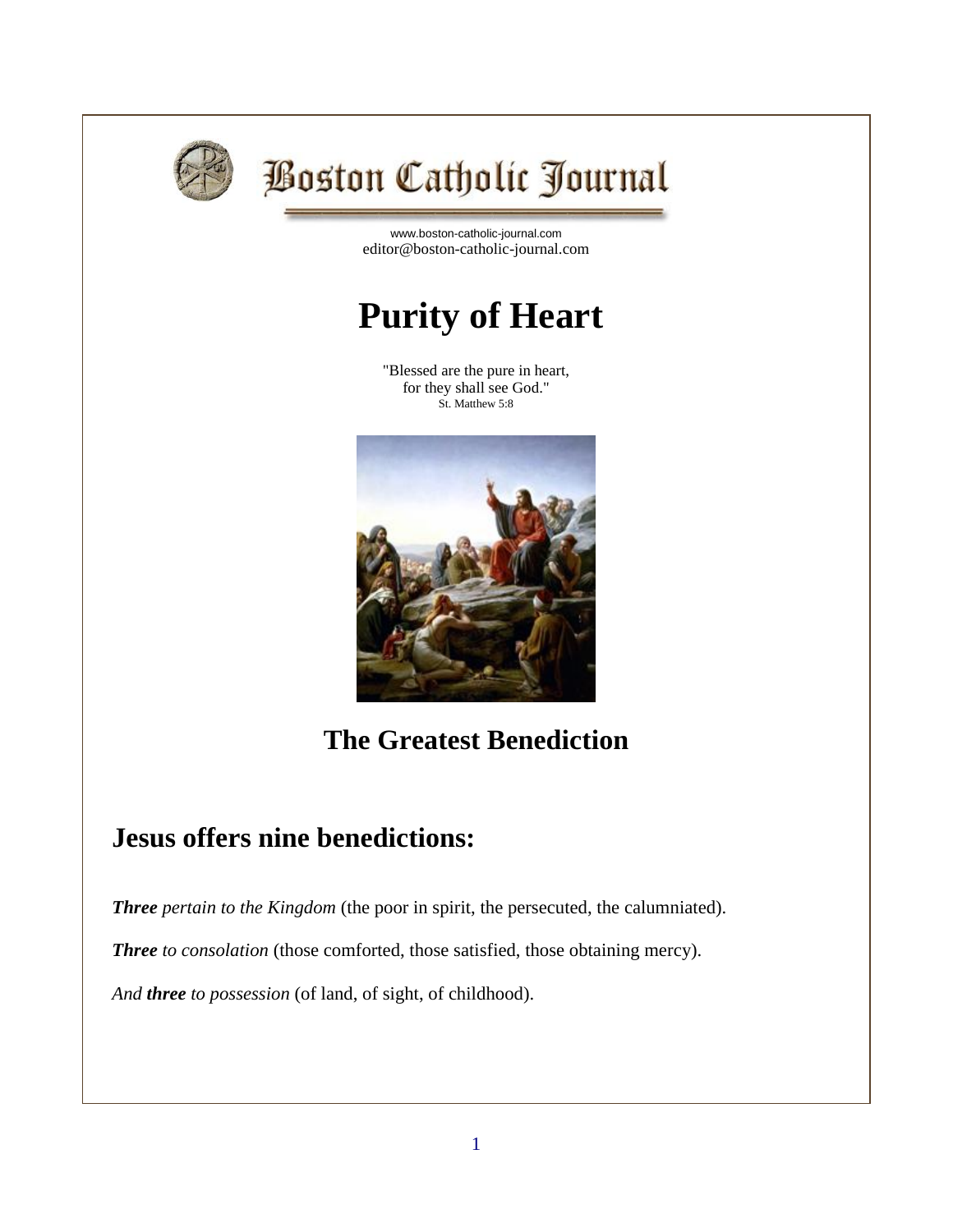

# **Boston Catholic Journal**

[www.boston-catholic-journal.com](http://www.boston-catholic-journal.com/) editor@boston-catholic-journal.com

# **Purity of Heart**

"Blessed are the pure in heart, for they shall see God." St. Matthew 5:8



## **The Greatest Benediction**

### **Jesus offers nine benedictions:**

*Three pertain to the Kingdom* (the poor in spirit, the persecuted, the calumniated).

*Three to consolation* (those comforted, those satisfied, those obtaining mercy).

*And three to possession* (of land, of sight, of childhood).